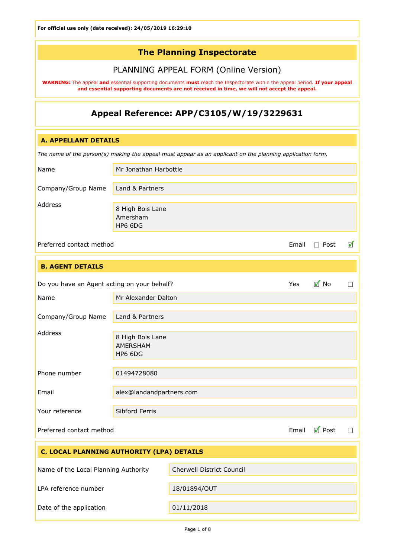# The Planning Inspectorate

# PLANNING APPEAL FORM (Online Version)

WARNING: The appeal and essential supporting documents must reach the Inspectorate within the appeal period. If your appeal and essential supporting documents are not received in time, we will not accept the appeal.

# Appeal Reference: APP/C3105/W/19/3229631

### A. APPELLANT DETAILS

*The name of the person(s) making the appeal must appear as an applicant on the planning application form.*

| Name               | Mr Jonathan Harbottle                   |
|--------------------|-----------------------------------------|
| Company/Group Name | Land & Partners                         |
| Address            | 8 High Bois Lane<br>Amersham<br>HP6 6DG |

 $\blacktriangledown$ 

Preferred contact method  $\Box$  Post

| <b>B. AGENT DETAILS</b>                     |                                         |        |                   |   |
|---------------------------------------------|-----------------------------------------|--------|-------------------|---|
| Do you have an Agent acting on your behalf? |                                         |        | $\blacksquare$ No | П |
| Name                                        | Mr Alexander Dalton                     |        |                   |   |
| Company/Group Name                          | Land & Partners                         |        |                   |   |
| Address                                     | 8 High Bois Lane<br>AMERSHAM<br>HP6 6DG |        |                   |   |
| Phone number                                | 01494728080                             |        |                   |   |
| Email                                       | alex@landandpartners.com                |        |                   |   |
| Your reference                              | Sibford Ferris                          |        |                   |   |
| Email<br>Preferred contact method           |                                         | ■ Post | $\Box$            |   |

| C. LOCAL PLANNING AUTHORITY (LPA) DETAILS |                           |  |
|-------------------------------------------|---------------------------|--|
| Name of the Local Planning Authority      | Cherwell District Council |  |
| LPA reference number                      | 18/01894/OUT              |  |
| Date of the application                   | 01/11/2018                |  |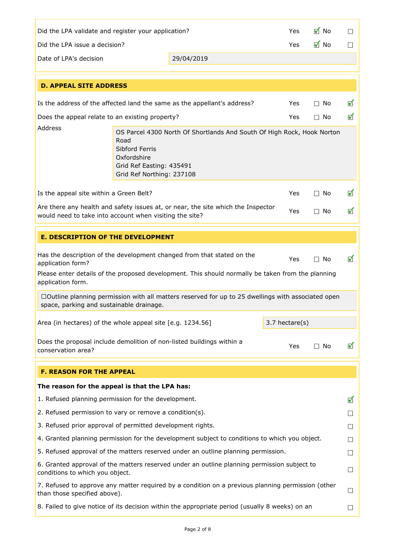| $\blacksquare$ No<br>Did the LPA validate and register your application?<br>$\Box$<br>Yes.                                                                       |                                                                                                |                                                                                                    |                             |                   |                             |
|------------------------------------------------------------------------------------------------------------------------------------------------------------------|------------------------------------------------------------------------------------------------|----------------------------------------------------------------------------------------------------|-----------------------------|-------------------|-----------------------------|
| Did the LPA issue a decision?                                                                                                                                    |                                                                                                |                                                                                                    | Yes                         | $\blacksquare$ No | $\mathcal{L}_{\mathcal{A}}$ |
| Date of LPA's decision                                                                                                                                           |                                                                                                | 29/04/2019                                                                                         |                             |                   |                             |
| <b>D. APPEAL SITE ADDRESS</b>                                                                                                                                    |                                                                                                |                                                                                                    |                             |                   |                             |
|                                                                                                                                                                  |                                                                                                | Is the address of the affected land the same as the appellant's address?                           | <b>Yes</b>                  | $\Box$ No         | ✔                           |
| Does the appeal relate to an existing property?                                                                                                                  |                                                                                                |                                                                                                    | Yes                         | $\Box$ No         | ✔                           |
| Address                                                                                                                                                          | Road<br>Sibford Ferris<br>Oxfordshire<br>Grid Ref Easting: 435491<br>Grid Ref Northing: 237108 | OS Parcel 4300 North Of Shortlands And South Of High Rock, Hook Norton                             |                             |                   |                             |
| Is the appeal site within a Green Belt?                                                                                                                          |                                                                                                |                                                                                                    | Yes                         | $\Box$ No         | ✔                           |
| would need to take into account when visiting the site?                                                                                                          |                                                                                                | Are there any health and safety issues at, or near, the site which the Inspector                   | Yes                         | $\Box$ No         | ✔                           |
|                                                                                                                                                                  |                                                                                                |                                                                                                    |                             |                   |                             |
| <b>E. DESCRIPTION OF THE DEVELOPMENT</b>                                                                                                                         |                                                                                                |                                                                                                    |                             |                   |                             |
| Has the description of the development changed from that stated on the<br>✔<br>Yes<br>$\square$ No<br>application form?                                          |                                                                                                |                                                                                                    |                             |                   |                             |
| Please enter details of the proposed development. This should normally be taken from the planning<br>application form.                                           |                                                                                                |                                                                                                    |                             |                   |                             |
| space, parking and sustainable drainage.                                                                                                                         |                                                                                                | □Outline planning permission with all matters reserved for up to 25 dwellings with associated open |                             |                   |                             |
| $3.7$ hectare(s)<br>Area (in hectares) of the whole appeal site [e.g. 1234.56]                                                                                   |                                                                                                |                                                                                                    |                             |                   |                             |
|                                                                                                                                                                  |                                                                                                |                                                                                                    |                             |                   |                             |
| Does the proposal include demolition of non-listed buildings within a<br>Yes<br>$\Box$ No<br>conservation area?                                                  |                                                                                                |                                                                                                    | ✔                           |                   |                             |
| <b>F. REASON FOR THE APPEAL</b>                                                                                                                                  |                                                                                                |                                                                                                    |                             |                   |                             |
| The reason for the appeal is that the LPA has:                                                                                                                   |                                                                                                |                                                                                                    |                             |                   |                             |
| 1. Refused planning permission for the development.                                                                                                              |                                                                                                |                                                                                                    |                             |                   | ✔                           |
| 2. Refused permission to vary or remove a condition(s).                                                                                                          |                                                                                                |                                                                                                    | $\mathcal{L}_{\mathcal{A}}$ |                   |                             |
| 3. Refused prior approval of permitted development rights.                                                                                                       |                                                                                                |                                                                                                    | $\sim$                      |                   |                             |
| 4. Granted planning permission for the development subject to conditions to which you object.                                                                    |                                                                                                | $\mathcal{L}_{\mathcal{A}}$                                                                        |                             |                   |                             |
| 5. Refused approval of the matters reserved under an outline planning permission.                                                                                |                                                                                                | $\Box$                                                                                             |                             |                   |                             |
| 6. Granted approval of the matters reserved under an outline planning permission subject to<br>conditions to which you object.                                   |                                                                                                |                                                                                                    | $\Box$                      |                   |                             |
| 7. Refused to approve any matter required by a condition on a previous planning permission (other<br>$\mathcal{L}_{\mathcal{A}}$<br>than those specified above). |                                                                                                |                                                                                                    |                             |                   |                             |
|                                                                                                                                                                  |                                                                                                | 8. Failed to give notice of its decision within the appropriate period (usually 8 weeks) on an     |                             |                   |                             |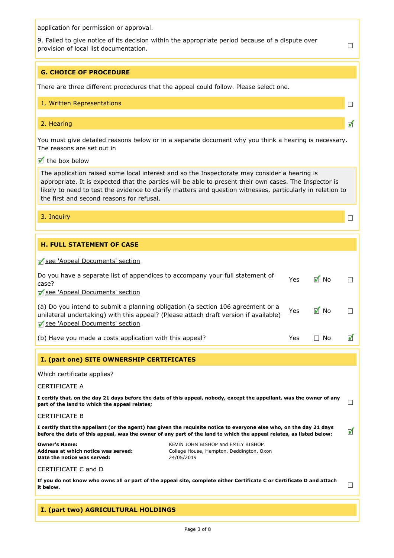application for permission or approval.

9. Failed to give notice of its decision within the appropriate period because of a dispute over provision of local list documentation.

 $\Box$ 

 $\Box$ 

 $\blacktriangledown$ 

 $\Box$ 

#### G. CHOICE OF PROCEDURE

There are three different procedures that the appeal could follow. Please select one.

#### 1. Written Representations

#### 2. Hearing

You must give detailed reasons below or in a separate document why you think a hearing is necessary. The reasons are set out in

# $\blacksquare$  the box below

The application raised some local interest and so the Inspectorate may consider a hearing is appropriate. It is expected that the parties will be able to present their own cases. The Inspector is likely to need to test the evidence to clarify matters and question witnesses, particularly in relation to the first and second reasons for refusal.

3. Inquiry

# H. FULL STATEMENT OF CASE

[see](#page-5-0) ['Appeal](#page-5-0) [Documents'](#page-5-0) [section](#page-5-0)

| case?<br>See 'Appeal Documents' section                                                    | Do you have a separate list of appendices to accompany your full statement of                                                                                                                                                              | Yes | $\blacksquare$ No |                      |
|--------------------------------------------------------------------------------------------|--------------------------------------------------------------------------------------------------------------------------------------------------------------------------------------------------------------------------------------------|-----|-------------------|----------------------|
| See 'Appeal Documents' section                                                             | (a) Do you intend to submit a planning obligation (a section 106 agreement or a<br>unilateral undertaking) with this appeal? (Please attach draft version if available)                                                                    | Yes | $\blacksquare$ No |                      |
| (b) Have you made a costs application with this appeal?                                    |                                                                                                                                                                                                                                            | Yes | $\Box$ No         | $\blacktriangledown$ |
| I. (part one) SITE OWNERSHIP CERTIFICATES                                                  |                                                                                                                                                                                                                                            |     |                   |                      |
| Which certificate applies?                                                                 |                                                                                                                                                                                                                                            |     |                   |                      |
| <b>CERTIFICATE A</b>                                                                       |                                                                                                                                                                                                                                            |     |                   |                      |
| part of the land to which the appeal relates;                                              | I certify that, on the day 21 days before the date of this appeal, nobody, except the appellant, was the owner of any                                                                                                                      |     |                   |                      |
| <b>CERTIFICATE B</b>                                                                       |                                                                                                                                                                                                                                            |     |                   |                      |
|                                                                                            | I certify that the appellant (or the agent) has given the requisite notice to everyone else who, on the day 21 days<br>before the date of this appeal, was the owner of any part of the land to which the appeal relates, as listed below: |     |                   | ✔                    |
| <b>Owner's Name:</b><br>Address at which notice was served:<br>Date the notice was served: | KEVIN JOHN BISHOP and EMILY BISHOP<br>College House, Hempton, Deddington, Oxon<br>24/05/2019                                                                                                                                               |     |                   |                      |
| CERTIFICATE C and D                                                                        |                                                                                                                                                                                                                                            |     |                   |                      |
| it below.                                                                                  | If you do not know who owns all or part of the appeal site, complete either Certificate C or Certificate D and attach                                                                                                                      |     |                   | $\Box$               |
|                                                                                            |                                                                                                                                                                                                                                            |     |                   |                      |

### I. (part two) AGRICULTURAL HOLDINGS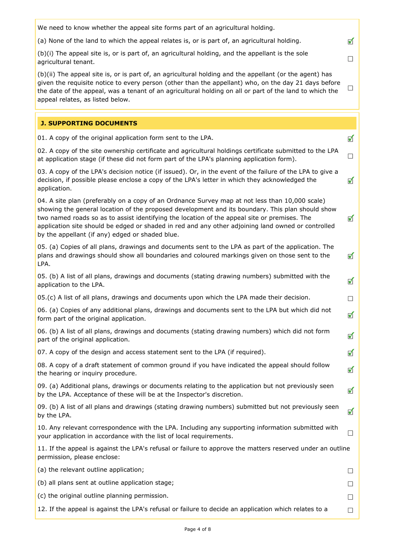| We need to know whether the appeal site forms part of an agricultural holding.                                                                                                                                                                                                                                                                                                                                                                              |                             |
|-------------------------------------------------------------------------------------------------------------------------------------------------------------------------------------------------------------------------------------------------------------------------------------------------------------------------------------------------------------------------------------------------------------------------------------------------------------|-----------------------------|
| (a) None of the land to which the appeal relates is, or is part of, an agricultural holding.                                                                                                                                                                                                                                                                                                                                                                | $\blacktriangledown$        |
| (b)(i) The appeal site is, or is part of, an agricultural holding, and the appellant is the sole<br>agricultural tenant.                                                                                                                                                                                                                                                                                                                                    | $\mathcal{L}_{\mathcal{A}}$ |
| (b)(ii) The appeal site is, or is part of, an agricultural holding and the appellant (or the agent) has<br>given the requisite notice to every person (other than the appellant) who, on the day 21 days before<br>the date of the appeal, was a tenant of an agricultural holding on all or part of the land to which the<br>appeal relates, as listed below.                                                                                              | $\Box$                      |
| <b>J. SUPPORTING DOCUMENTS</b>                                                                                                                                                                                                                                                                                                                                                                                                                              |                             |
| 01. A copy of the original application form sent to the LPA.                                                                                                                                                                                                                                                                                                                                                                                                | ✔                           |
| 02. A copy of the site ownership certificate and agricultural holdings certificate submitted to the LPA<br>at application stage (if these did not form part of the LPA's planning application form).                                                                                                                                                                                                                                                        | $\overline{\phantom{a}}$    |
| 03. A copy of the LPA's decision notice (if issued). Or, in the event of the failure of the LPA to give a<br>decision, if possible please enclose a copy of the LPA's letter in which they acknowledged the<br>application.                                                                                                                                                                                                                                 | ✔                           |
| 04. A site plan (preferably on a copy of an Ordnance Survey map at not less than 10,000 scale)<br>showing the general location of the proposed development and its boundary. This plan should show<br>two named roads so as to assist identifying the location of the appeal site or premises. The<br>application site should be edged or shaded in red and any other adjoining land owned or controlled<br>by the appellant (if any) edged or shaded blue. | $\blacktriangledown$        |
| 05. (a) Copies of all plans, drawings and documents sent to the LPA as part of the application. The<br>plans and drawings should show all boundaries and coloured markings given on those sent to the<br>LPA.                                                                                                                                                                                                                                               | $\blacktriangledown$        |
| 05. (b) A list of all plans, drawings and documents (stating drawing numbers) submitted with the<br>application to the LPA.                                                                                                                                                                                                                                                                                                                                 | ✔                           |
| 05.(c) A list of all plans, drawings and documents upon which the LPA made their decision.                                                                                                                                                                                                                                                                                                                                                                  | $\overline{\phantom{a}}$    |
| 06. (a) Copies of any additional plans, drawings and documents sent to the LPA but which did not<br>form part of the original application.                                                                                                                                                                                                                                                                                                                  | ✔                           |
| 06. (b) A list of all plans, drawings and documents (stating drawing numbers) which did not form<br>part of the original application.                                                                                                                                                                                                                                                                                                                       | $\blacktriangledown$        |
| 07. A copy of the design and access statement sent to the LPA (if required).                                                                                                                                                                                                                                                                                                                                                                                | ✔                           |
| 08. A copy of a draft statement of common ground if you have indicated the appeal should follow<br>the hearing or inguiry procedure.                                                                                                                                                                                                                                                                                                                        | ✔                           |
| 09. (a) Additional plans, drawings or documents relating to the application but not previously seen<br>by the LPA. Acceptance of these will be at the Inspector's discretion.                                                                                                                                                                                                                                                                               | ✔                           |
| 09. (b) A list of all plans and drawings (stating drawing numbers) submitted but not previously seen<br>by the LPA.                                                                                                                                                                                                                                                                                                                                         | $\blacktriangledown$        |
| 10. Any relevant correspondence with the LPA. Including any supporting information submitted with<br>your application in accordance with the list of local requirements.                                                                                                                                                                                                                                                                                    | $\Box$                      |
| 11. If the appeal is against the LPA's refusal or failure to approve the matters reserved under an outline<br>permission, please enclose:                                                                                                                                                                                                                                                                                                                   |                             |
| (a) the relevant outline application;                                                                                                                                                                                                                                                                                                                                                                                                                       | $\sim$                      |
| (b) all plans sent at outline application stage;                                                                                                                                                                                                                                                                                                                                                                                                            | $\Box$                      |
| (c) the original outline planning permission.                                                                                                                                                                                                                                                                                                                                                                                                               | $\mathcal{L}_{\mathcal{A}}$ |
| 12. If the appeal is against the LPA's refusal or failure to decide an application which relates to a                                                                                                                                                                                                                                                                                                                                                       | $\Box$                      |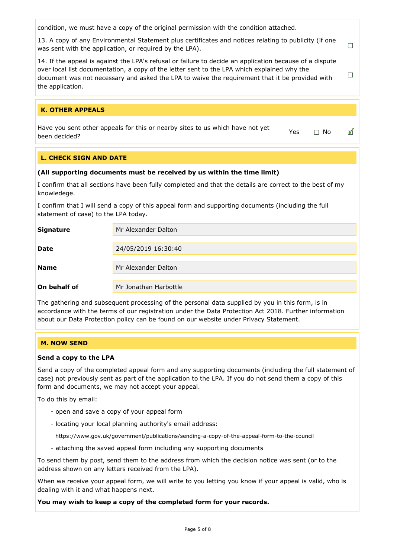condition, we must have a copy of the original permission with the condition attached.

13. A copy of any Environmental Statement plus certificates and notices relating to publicity (if one was sent with the application, or required by the LPA).

 $\Box$ 

 $\Box$ 

✔

14. If the appeal is against the LPA's refusal or failure to decide an application because of a dispute over local list documentation, a copy of the letter sent to the LPA which explained why the document was not necessary and asked the LPA to waive the requirement that it be provided with the application.

### K. OTHER APPEALS

Have you sent other appeals for this or nearby sites to us which have not yet  $\Box$  No<br>been decided?

# L. CHECK SIGN AND DATE

#### (All supporting documents must be received by us within the time limit)

I confirm that all sections have been fully completed and that the details are correct to the best of my knowledege.

I confirm that I will send a copy of this appeal form and supporting documents (including the full statement of case) to the LPA today.

| <b>Signature</b> | Mr Alexander Dalton   |
|------------------|-----------------------|
|                  |                       |
| <b>Date</b>      | 24/05/2019 16:30:40   |
|                  |                       |
| <b>Name</b>      | Mr Alexander Dalton   |
|                  |                       |
| On behalf of     | Mr Jonathan Harbottle |

The gathering and subsequent processing of the personal data supplied by you in this form, is in accordance with the terms of our registration under the Data Protection Act 2018. Further information about our Data Protection policy can be found on our website under Privacy Statement.

### M. NOW SEND

#### Send a copy to the LPA

Send a copy of the completed appeal form and any supporting documents (including the full statement of case) not previously sent as part of the application to the LPA. If you do not send them a copy of this form and documents, we may not accept your appeal.

To do this by email:

- open and save a copy of your appeal form
- locating your local planning authority's email address:

https://www.gov.uk/government/publications/sending-a-copy-of-the-appeal-form-to-the-council

- attaching the saved appeal form including any supporting documents

To send them by post, send them to the address from which the decision notice was sent (or to the address shown on any letters received from the LPA).

When we receive your appeal form, we will write to you letting you know if your appeal is valid, who is dealing with it and what happens next.

You may wish to keep a copy of the completed form for your records.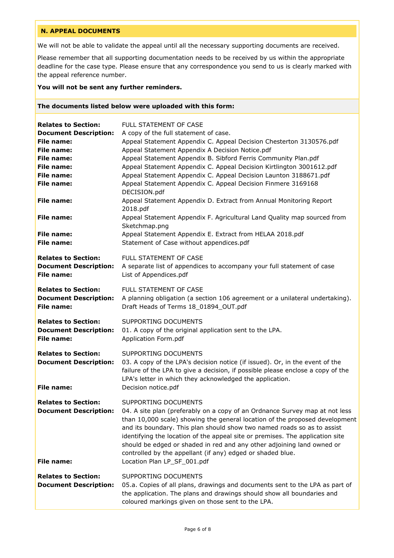# <span id="page-5-0"></span>N. APPEAL DOCUMENTS

We will not be able to validate the appeal until all the necessary supporting documents are received.

Please remember that all supporting documentation needs to be received by us within the appropriate deadline for the case type. Please ensure that any correspondence you send to us is clearly marked with the appeal reference number.

#### You will not be sent any further reminders.

#### The documents listed below were uploaded with this form:

| <b>Relates to Section:</b>                                                      | <b>FULL STATEMENT OF CASE</b>                                                                                                                                                                                                                                                                                                                                                                                                                                                                                         |
|---------------------------------------------------------------------------------|-----------------------------------------------------------------------------------------------------------------------------------------------------------------------------------------------------------------------------------------------------------------------------------------------------------------------------------------------------------------------------------------------------------------------------------------------------------------------------------------------------------------------|
| <b>Document Description:</b>                                                    | A copy of the full statement of case.                                                                                                                                                                                                                                                                                                                                                                                                                                                                                 |
| File name:                                                                      | Appeal Statement Appendix C. Appeal Decision Chesterton 3130576.pdf                                                                                                                                                                                                                                                                                                                                                                                                                                                   |
| File name:                                                                      | Appeal Statement Appendix A Decision Notice.pdf                                                                                                                                                                                                                                                                                                                                                                                                                                                                       |
| File name:                                                                      | Appeal Statement Appendix B. Sibford Ferris Community Plan.pdf                                                                                                                                                                                                                                                                                                                                                                                                                                                        |
| File name:                                                                      | Appeal Statement Appendix C. Appeal Decision Kirtlington 3001612.pdf                                                                                                                                                                                                                                                                                                                                                                                                                                                  |
| <b>File name:</b>                                                               | Appeal Statement Appendix C. Appeal Decision Launton 3188671.pdf                                                                                                                                                                                                                                                                                                                                                                                                                                                      |
| <b>File name:</b>                                                               | Appeal Statement Appendix C. Appeal Decision Finmere 3169168<br>DECISION.pdf                                                                                                                                                                                                                                                                                                                                                                                                                                          |
| <b>File name:</b>                                                               | Appeal Statement Appendix D. Extract from Annual Monitoring Report<br>2018.pdf                                                                                                                                                                                                                                                                                                                                                                                                                                        |
| <b>File name:</b>                                                               | Appeal Statement Appendix F. Agricultural Land Quality map sourced from<br>Sketchmap.png                                                                                                                                                                                                                                                                                                                                                                                                                              |
| File name:<br>File name:                                                        | Appeal Statement Appendix E. Extract from HELAA 2018.pdf<br>Statement of Case without appendices.pdf                                                                                                                                                                                                                                                                                                                                                                                                                  |
| <b>Relates to Section:</b><br><b>Document Description:</b><br><b>File name:</b> | FULL STATEMENT OF CASE<br>A separate list of appendices to accompany your full statement of case<br>List of Appendices.pdf                                                                                                                                                                                                                                                                                                                                                                                            |
| <b>Relates to Section:</b><br><b>Document Description:</b><br><b>File name:</b> | FULL STATEMENT OF CASE<br>A planning obligation (a section 106 agreement or a unilateral undertaking).<br>Draft Heads of Terms 18_01894_OUT.pdf                                                                                                                                                                                                                                                                                                                                                                       |
| <b>Relates to Section:</b><br><b>Document Description:</b><br><b>File name:</b> | SUPPORTING DOCUMENTS<br>01. A copy of the original application sent to the LPA.<br>Application Form.pdf                                                                                                                                                                                                                                                                                                                                                                                                               |
| <b>Relates to Section:</b><br><b>Document Description:</b><br><b>File name:</b> | SUPPORTING DOCUMENTS<br>03. A copy of the LPA's decision notice (if issued). Or, in the event of the<br>failure of the LPA to give a decision, if possible please enclose a copy of the<br>LPA's letter in which they acknowledged the application.<br>Decision notice.pdf                                                                                                                                                                                                                                            |
|                                                                                 |                                                                                                                                                                                                                                                                                                                                                                                                                                                                                                                       |
| <b>Relates to Section:</b><br><b>Document Description:</b><br><b>File name:</b> | SUPPORTING DOCUMENTS<br>04. A site plan (preferably on a copy of an Ordnance Survey map at not less<br>than 10,000 scale) showing the general location of the proposed development<br>and its boundary. This plan should show two named roads so as to assist<br>identifying the location of the appeal site or premises. The application site<br>should be edged or shaded in red and any other adjoining land owned or<br>controlled by the appellant (if any) edged or shaded blue.<br>Location Plan LP_SF_001.pdf |
| <b>Relates to Section:</b><br><b>Document Description:</b>                      | SUPPORTING DOCUMENTS<br>05.a. Copies of all plans, drawings and documents sent to the LPA as part of<br>the application. The plans and drawings should show all boundaries and<br>coloured markings given on those sent to the LPA.                                                                                                                                                                                                                                                                                   |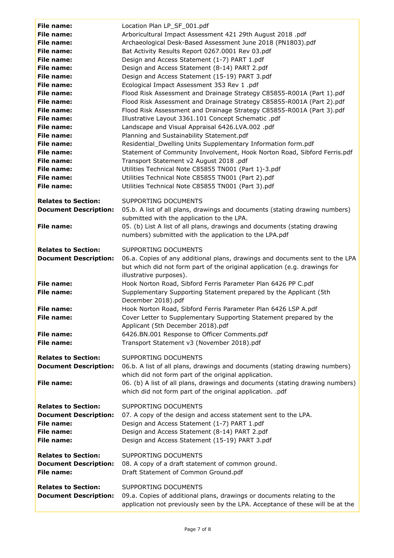| <b>File name:</b><br>File name:<br><b>File name:</b><br>File name:<br><b>File name:</b><br>File name:<br>File name:<br>File name:<br>File name:<br>File name:<br>File name:<br>File name:<br>File name:<br>File name:<br>File name:<br>File name:<br>File name:<br>File name:<br>File name:<br>File name: | Location Plan LP_SF_001.pdf<br>Arboricultural Impact Assessment 421 29th August 2018 .pdf<br>Archaeological Desk-Based Assessment June 2018 (PN1803).pdf<br>Bat Activity Results Report 0267.0001 Rev 03.pdf<br>Design and Access Statement (1-7) PART 1.pdf<br>Design and Access Statement (8-14) PART 2.pdf<br>Design and Access Statement (15-19) PART 3.pdf<br>Ecological Impact Assessment 353 Rev 1 .pdf<br>Flood Risk Assessment and Drainage Strategy C85855-R001A (Part 1).pdf<br>Flood Risk Assessment and Drainage Strategy C85855-R001A (Part 2).pdf<br>Flood Risk Assessment and Drainage Strategy C85855-R001A (Part 3).pdf<br>Illustrative Layout 3361.101 Concept Schematic .pdf<br>Landscape and Visual Appraisal 6426.LVA.002 .pdf<br>Planning and Sustainability Statement.pdf<br>Residential_Dwelling Units Supplementary Information form.pdf<br>Statement of Community Involvement, Hook Norton Road, Sibford Ferris.pdf<br>Transport Statement v2 August 2018 .pdf<br>Utilities Technical Note C85855 TN001 (Part 1)-3.pdf<br>Utilities Technical Note C85855 TN001 (Part 2).pdf<br>Utilities Technical Note C85855 TN001 (Part 3).pdf |
|-----------------------------------------------------------------------------------------------------------------------------------------------------------------------------------------------------------------------------------------------------------------------------------------------------------|---------------------------------------------------------------------------------------------------------------------------------------------------------------------------------------------------------------------------------------------------------------------------------------------------------------------------------------------------------------------------------------------------------------------------------------------------------------------------------------------------------------------------------------------------------------------------------------------------------------------------------------------------------------------------------------------------------------------------------------------------------------------------------------------------------------------------------------------------------------------------------------------------------------------------------------------------------------------------------------------------------------------------------------------------------------------------------------------------------------------------------------------------------------|
| <b>Relates to Section:</b>                                                                                                                                                                                                                                                                                | SUPPORTING DOCUMENTS                                                                                                                                                                                                                                                                                                                                                                                                                                                                                                                                                                                                                                                                                                                                                                                                                                                                                                                                                                                                                                                                                                                                          |
| <b>Document Description:</b>                                                                                                                                                                                                                                                                              | 05.b. A list of all plans, drawings and documents (stating drawing numbers)<br>submitted with the application to the LPA.                                                                                                                                                                                                                                                                                                                                                                                                                                                                                                                                                                                                                                                                                                                                                                                                                                                                                                                                                                                                                                     |
| <b>File name:</b>                                                                                                                                                                                                                                                                                         | 05. (b) List A list of all plans, drawings and documents (stating drawing<br>numbers) submitted with the application to the LPA.pdf                                                                                                                                                                                                                                                                                                                                                                                                                                                                                                                                                                                                                                                                                                                                                                                                                                                                                                                                                                                                                           |
| <b>Relates to Section:</b><br><b>Document Description:</b>                                                                                                                                                                                                                                                | SUPPORTING DOCUMENTS<br>06.a. Copies of any additional plans, drawings and documents sent to the LPA<br>but which did not form part of the original application (e.g. drawings for<br>illustrative purposes).                                                                                                                                                                                                                                                                                                                                                                                                                                                                                                                                                                                                                                                                                                                                                                                                                                                                                                                                                 |
| <b>File name:</b><br><b>File name:</b>                                                                                                                                                                                                                                                                    | Hook Norton Road, Sibford Ferris Parameter Plan 6426 PP C.pdf<br>Supplementary Supporting Statement prepared by the Applicant (5th                                                                                                                                                                                                                                                                                                                                                                                                                                                                                                                                                                                                                                                                                                                                                                                                                                                                                                                                                                                                                            |
| File name:<br><b>File name:</b>                                                                                                                                                                                                                                                                           | December 2018).pdf<br>Hook Norton Road, Sibford Ferris Parameter Plan 6426 LSP A.pdf<br>Cover Letter to Supplementary Supporting Statement prepared by the<br>Applicant (5th December 2018).pdf                                                                                                                                                                                                                                                                                                                                                                                                                                                                                                                                                                                                                                                                                                                                                                                                                                                                                                                                                               |
| <b>File name:</b><br><b>File name:</b>                                                                                                                                                                                                                                                                    | 6426.BN.001 Response to Officer Comments.pdf<br>Transport Statement v3 (November 2018).pdf                                                                                                                                                                                                                                                                                                                                                                                                                                                                                                                                                                                                                                                                                                                                                                                                                                                                                                                                                                                                                                                                    |
| <b>Relates to Section:</b><br><b>Document Description:</b><br><b>File name:</b>                                                                                                                                                                                                                           | SUPPORTING DOCUMENTS<br>06.b. A list of all plans, drawings and documents (stating drawing numbers)<br>which did not form part of the original application.<br>06. (b) A list of all plans, drawings and documents (stating drawing numbers)                                                                                                                                                                                                                                                                                                                                                                                                                                                                                                                                                                                                                                                                                                                                                                                                                                                                                                                  |
|                                                                                                                                                                                                                                                                                                           | which did not form part of the original application. .pdf                                                                                                                                                                                                                                                                                                                                                                                                                                                                                                                                                                                                                                                                                                                                                                                                                                                                                                                                                                                                                                                                                                     |
| <b>Relates to Section:</b><br><b>Document Description:</b><br><b>File name:</b><br>File name:<br>File name:                                                                                                                                                                                               | SUPPORTING DOCUMENTS<br>07. A copy of the design and access statement sent to the LPA.<br>Design and Access Statement (1-7) PART 1.pdf<br>Design and Access Statement (8-14) PART 2.pdf<br>Design and Access Statement (15-19) PART 3.pdf                                                                                                                                                                                                                                                                                                                                                                                                                                                                                                                                                                                                                                                                                                                                                                                                                                                                                                                     |
| <b>Relates to Section:</b><br><b>Document Description:</b><br>File name:                                                                                                                                                                                                                                  | SUPPORTING DOCUMENTS<br>08. A copy of a draft statement of common ground.<br>Draft Statement of Common Ground.pdf                                                                                                                                                                                                                                                                                                                                                                                                                                                                                                                                                                                                                                                                                                                                                                                                                                                                                                                                                                                                                                             |
| <b>Relates to Section:</b><br><b>Document Description:</b>                                                                                                                                                                                                                                                | SUPPORTING DOCUMENTS<br>09.a. Copies of additional plans, drawings or documents relating to the<br>application not previously seen by the LPA. Acceptance of these will be at the                                                                                                                                                                                                                                                                                                                                                                                                                                                                                                                                                                                                                                                                                                                                                                                                                                                                                                                                                                             |